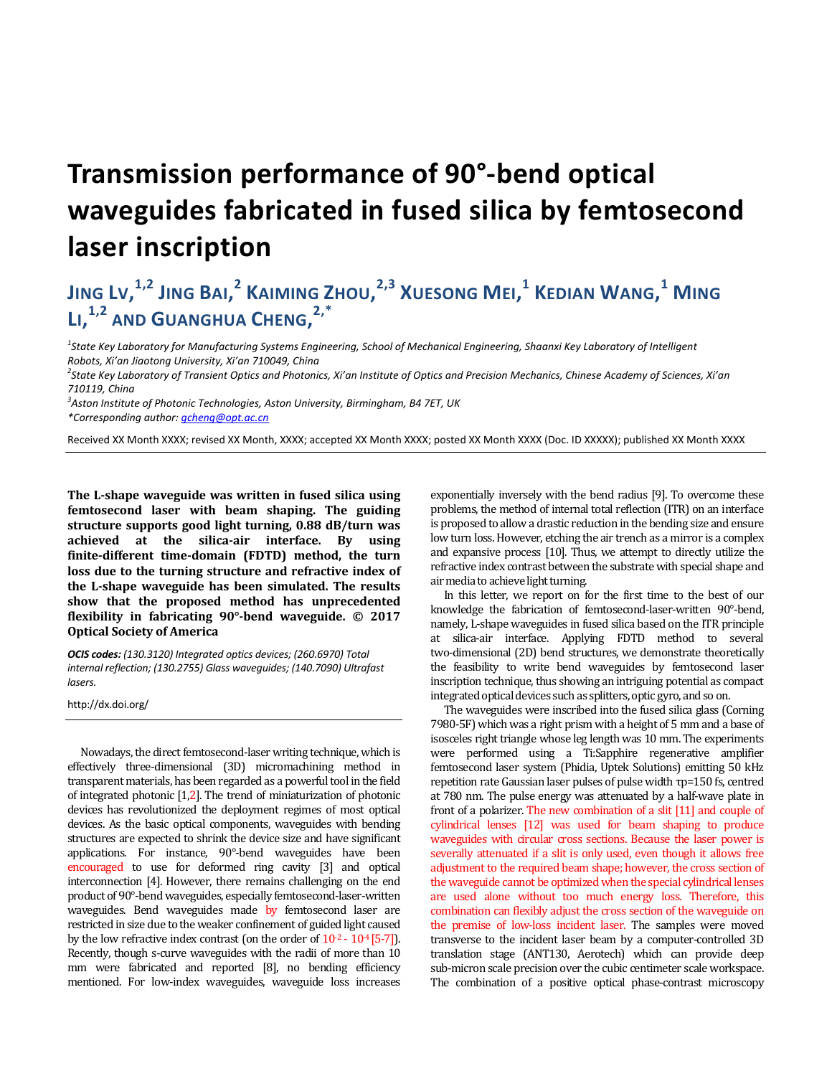## **Transmission performance of 90°-bend optical waveguides fabricated in fused silica by femtosecond laser inscription**

## **JING LV, 1,2 JING BAI, <sup>2</sup> KAIMING ZHOU, 2,3 XUESONG MEI, <sup>1</sup> KEDIAN WANG, <sup>1</sup> MING LI, 1,2 AND GUANGHUA CHENG, 2,\***

*1 State Key Laboratory for Manufacturing Systems Engineering, School of Mechanical Engineering, Shaanxi Key Laboratory of Intelligent Robots, Xi'an Jiaotong University, Xi'an 710049, China* 

*2 State Key Laboratory of Transient Optics and Photonics, Xi'an Institute of Optics and Precision Mechanics, Chinese Academy of Sciences, Xi'an 710119, China* 

*3 Aston Institute of Photonic Technologies, Aston University, Birmingham, B4 7ET, UK*

*\*Corresponding author: gcheng@opt.ac.cn*

Received XX Month XXXX; revised XX Month, XXXX; accepted XX Month XXXX; posted XX Month XXXX (Doc. ID XXXXX); published XX Month XXXX

**The L-shape waveguide was written in fused silica using femtosecond laser with beam shaping. The guiding structure supports good light turning, 0.88 dB/turn was achieved at the silica-air interface. By using finite-different time-domain (FDTD) method, the turn loss due to the turning structure and refractive index of the L-shape waveguide has been simulated. The results show that the proposed method has unprecedented flexibility in fabricating 90°-bend waveguide. © 2017 Optical Society of America** 

*OCIS codes: (130.3120) Integrated optics devices; (260.6970) Total internal reflection; (130.2755) Glass waveguides; (140.7090) Ultrafast lasers.* 

http://dx.doi.org/

Nowadays, the direct femtosecond-laser writing technique, which is effectively three-dimensional (3D) micromachining method in transparent materials, has been regarded as a powerful tool in the field of integrated photonic [1,2]. The trend of miniaturization of photonic devices has revolutionized the deployment regimes of most optical devices. As the basic optical components, waveguides with bending structures are expected to shrink the device size and have significant applications. For instance, 90°-bend waveguides have been encouraged to use for deformed ring cavity [3] and optical interconnection [4]. However, there remains challenging on the end product of 90°-bend waveguides, especially femtosecond-laser-written waveguides. Bend waveguides made by femtosecond laser are restricted in size due to the weaker confinement of guided light caused by the low refractive index contrast (on the order of  $10^{-2}$  -  $10^{-4}$  [5-7]). Recently, though s-curve waveguides with the radii of more than 10 mm were fabricated and reported [8], no bending efficiency mentioned. For low-index waveguides, waveguide loss increases

exponentially inversely with the bend radius [9]. To overcome these problems, the method of internal total reflection (ITR) on an interface is proposed to allow a drastic reduction in the bending size and ensure low turn loss. However, etching the air trench as a mirror is a complex and expansive process [10]. Thus, we attempt to directly utilize the refractive index contrast between the substrate with special shape and air media to achieve light turning.

In this letter, we report on for the first time to the best of our knowledge the fabrication of femtosecond-laser-written 90°-bend, namely, L-shape waveguides in fused silica based on the ITR principle at silica-air interface. Applying FDTD method to several two-dimensional (2D) bend structures, we demonstrate theoretically the feasibility to write bend waveguides by femtosecond laser inscription technique, thus showing an intriguing potential as compact integrated optical devices such as splitters, optic gyro, and so on.

The waveguides were inscribed into the fused silica glass (Corning 7980-5F) which was a right prism with a height of 5 mm and a base of isosceles right triangle whose leg length was 10 mm. The experiments were performed using a Ti:Sapphire regenerative amplifier femtosecond laser system (Phidia, Uptek Solutions) emitting 50 kHz repetition rate Gaussian laser pulses of pulse width τp=150 fs, centred at 780 nm. The pulse energy was attenuated by a half-wave plate in front of a polarizer. The new combination of a slit [11] and couple of cylindrical lenses [12] was used for beam shaping to produce waveguides with circular cross sections. Because the laser power is severally attenuated if a slit is only used, even though it allows free adjustment to the required beam shape; however, the cross section of the waveguide cannot be optimized when the special cylindrical lenses are used alone without too much energy loss. Therefore, this combination can flexibly adjust the cross section of the waveguide on the premise of low-loss incident laser. The samples were moved transverse to the incident laser beam by a computer-controlled 3D translation stage (ANT130, Aerotech) which can provide deep sub-micron scale precision over the cubic centimeter scale workspace. The combination of a positive optical phase-contrast microscopy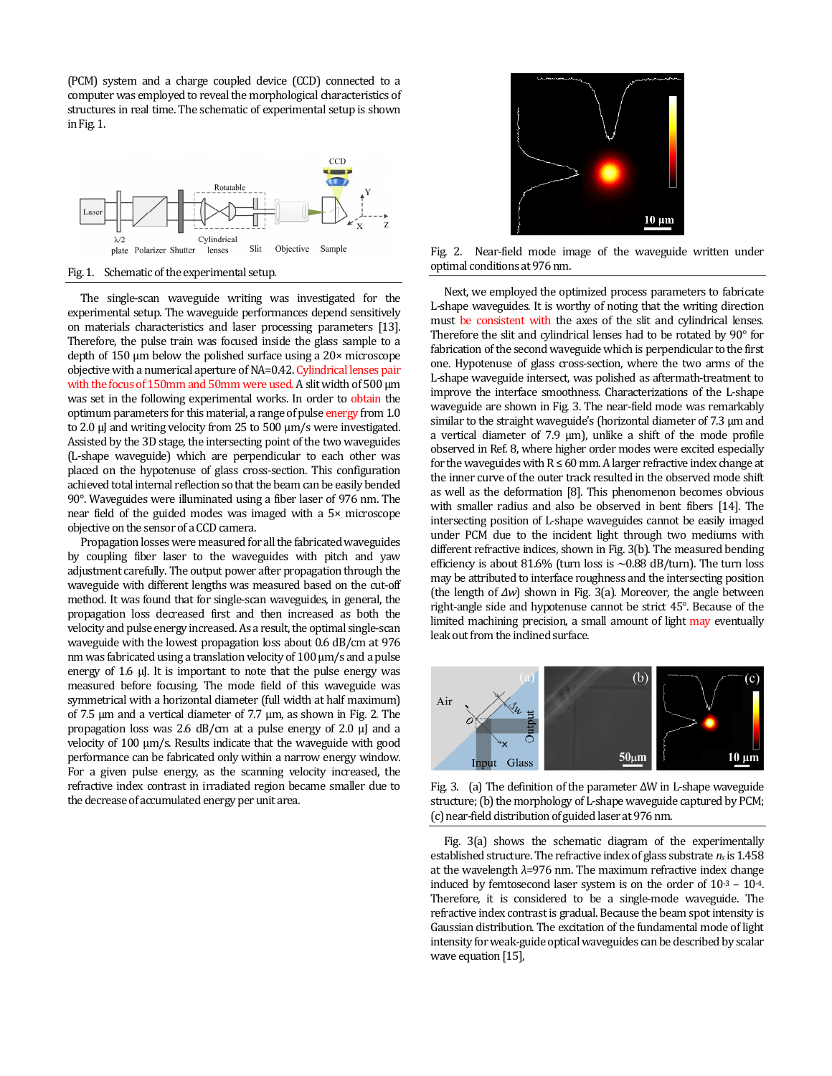(PCM) system and a charge coupled device (CCD) connected to a computer was employed to reveal the morphological characteristics of structures in real time. The schematic of experimental setup is shown in Fig. 1.



Fig. 1. Schematic of the experimental setup.

The single-scan waveguide writing was investigated for the experimental setup. The waveguide performances depend sensitively on materials characteristics and laser processing parameters [13]. Therefore, the pulse train was focused inside the glass sample to a depth of 150 μm below the polished surface using a 20× microscope objective with a numerical aperture of NA=0.42. Cylindrical lenses pair with the focus of 150mm and 50mm were used. A slit width of 500 μm was set in the following experimental works. In order to obtain the optimum parameters for this material, a range of pulse energy from 1.0 to 2.0 μJ and writing velocity from 25 to 500 μm/s were investigated. Assisted by the 3D stage, the intersecting point of the two waveguides (L-shape waveguide) which are perpendicular to each other was placed on the hypotenuse of glass cross-section. This configuration achieved total internal reflection so that the beam can be easily bended 90°. Waveguides were illuminated using a fiber laser of 976 nm. The near field of the guided modes was imaged with a 5× microscope objective on the sensor of a CCD camera.

Propagation losses were measured for all the fabricated waveguides by coupling fiber laser to the waveguides with pitch and yaw adjustment carefully. The output power after propagation through the waveguide with different lengths was measured based on the cut-off method. It was found that for single-scan waveguides, in general, the propagation loss decreased first and then increased as both the velocity and pulse energy increased. As a result, the optimal single-scan waveguide with the lowest propagation loss about 0.6 dB/cm at 976 nm was fabricated using a translation velocity of 100 μm/s and a pulse energy of 1.6 μJ. It is important to note that the pulse energy was measured before focusing. The mode field of this waveguide was symmetrical with a horizontal diameter (full width at half maximum) of 7.5 μm and a vertical diameter of 7.7 μm, as shown in Fig. 2. The propagation loss was 2.6 dB/cm at a pulse energy of 2.0 μJ and a velocity of 100 μm/s. Results indicate that the waveguide with good performance can be fabricated only within a narrow energy window. For a given pulse energy, as the scanning velocity increased, the refractive index contrast in irradiated region became smaller due to the decrease of accumulated energy per unit area.



Fig. 2. Near-field mode image of the waveguide written under optimal conditions at 976 nm.

Next, we employed the optimized process parameters to fabricate L-shape waveguides. It is worthy of noting that the writing direction must be consistent with the axes of the slit and cylindrical lenses. Therefore the slit and cylindrical lenses had to be rotated by 90° for fabrication of the second waveguide which is perpendicular to the first one. Hypotenuse of glass cross-section, where the two arms of the L-shape waveguide intersect, was polished as aftermath-treatment to improve the interface smoothness. Characterizations of the L-shape waveguide are shown in Fig. 3. The near-field mode was remarkably similar to the straight waveguide's (horizontal diameter of 7.3 μm and a vertical diameter of 7.9 μm), unlike a shift of the mode profile observed in Ref. 8, where higher order modes were excited especially for the waveguides with  $R \le 60$  mm. A larger refractive index change at the inner curve of the outer track resulted in the observed mode shift as well as the deformation [8]. This phenomenon becomes obvious with smaller radius and also be observed in bent fibers [14]. The intersecting position of L-shape waveguides cannot be easily imaged under PCM due to the incident light through two mediums with different refractive indices, shown in Fig. 3(b). The measured bending efficiency is about 81.6% (turn loss is  $\sim$ 0.88 dB/turn). The turn loss may be attributed to interface roughness and the intersecting position (the length of *∆w*) shown in Fig. 3(a). Moreover, the angle between right-angle side and hypotenuse cannot be strict 45°. Because of the limited machining precision, a small amount of light may eventually leak out from the inclined surface.



Fig. 3. (a) The definition of the parameter ∆W in L-shape waveguide structure; (b) the morphology of L-shape waveguide captured by PCM; (c) near-field distribution of guided laser at 976 nm.

Fig. 3(a) shows the schematic diagram of the experimentally established structure. The refractive index of glass substrate *ns* is 1.458 at the wavelength *λ*=976 nm. The maximum refractive index change induced by femtosecond laser system is on the order of  $10^{-3}$  –  $10^{-4}$ . Therefore, it is considered to be a single-mode waveguide. The refractive index contrast is gradual. Because the beam spot intensity is Gaussian distribution. The excitation of the fundamental mode of light intensity for weak-guide optical waveguides can be described by scalar wave equation [15],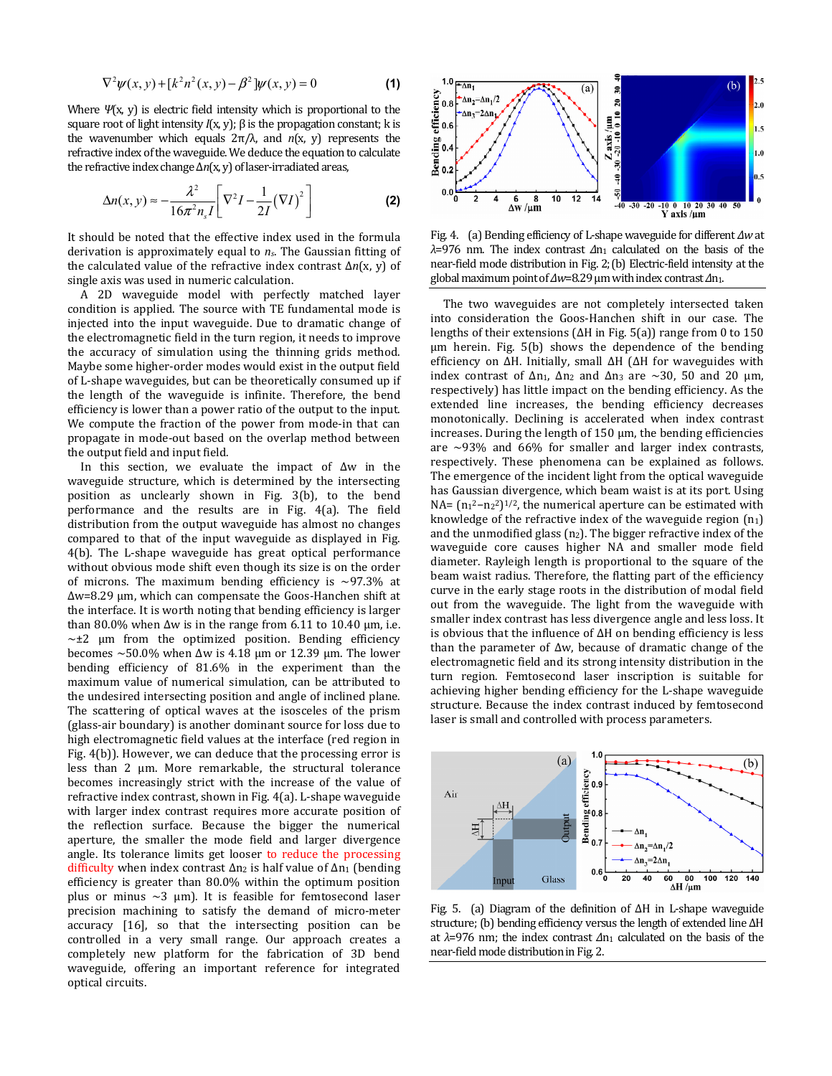$$
\nabla^2 \psi(x, y) + [k^2 n^2(x, y) - \beta^2] \psi(x, y) = 0
$$
 (1)

Where *Ψ*(x, y) is electric field intensity which is proportional to the square root of light intensity  $I(x, y)$ ;  $\beta$  is the propagation constant; k is the wavenumber which equals 2π/λ, and *n*(x, y) represents the refractive index of the waveguide. We deduce the equation to calculate the refractive index change ∆*n*(x, y) of laser-irradiated areas,

$$
\Delta n(x, y) \approx -\frac{\lambda^2}{16\pi^2 n_s I} \left[ \nabla^2 I - \frac{1}{2I} (\nabla I)^2 \right]
$$
 (2)

It should be noted that the effective index used in the formula derivation is approximately equal to *ns*. The Gaussian fitting of the calculated value of the refractive index contrast ∆*n*(x, y) of single axis was used in numeric calculation.

A 2D waveguide model with perfectly matched layer condition is applied. The source with TE fundamental mode is injected into the input waveguide. Due to dramatic change of the electromagnetic field in the turn region, it needs to improve the accuracy of simulation using the thinning grids method. Maybe some higher-order modes would exist in the output field of L-shape waveguides, but can be theoretically consumed up if the length of the waveguide is infinite. Therefore, the bend efficiency is lower than a power ratio of the output to the input. We compute the fraction of the power from mode-in that can propagate in mode-out based on the overlap method between the output field and input field.

In this section, we evaluate the impact of ∆w in the waveguide structure, which is determined by the intersecting position as unclearly shown in Fig. 3(b), to the bend performance and the results are in Fig. 4(a). The field distribution from the output waveguide has almost no changes compared to that of the input waveguide as displayed in Fig. 4(b). The L-shape waveguide has great optical performance without obvious mode shift even though its size is on the order of microns. The maximum bending efficiency is  $\sim$ 97.3% at ∆w=8.29 μm, which can compensate the Goos-Hanchen shift at the interface. It is worth noting that bending efficiency is larger than 80.0% when  $\Delta w$  is in the range from 6.11 to 10.40 µm, i.e.  $\sim \pm 2$  μm from the optimized position. Bending efficiency becomes ~50.0% when  $Δw$  is 4.18 μm or 12.39 μm. The lower bending efficiency of 81.6% in the experiment than the maximum value of numerical simulation, can be attributed to the undesired intersecting position and angle of inclined plane. The scattering of optical waves at the isosceles of the prism (glass-air boundary) is another dominant source for loss due to high electromagnetic field values at the interface (red region in Fig. 4(b)). However, we can deduce that the processing error is less than 2 μm. More remarkable, the structural tolerance becomes increasingly strict with the increase of the value of refractive index contrast, shown in Fig. 4(a). L-shape waveguide with larger index contrast requires more accurate position of the reflection surface. Because the bigger the numerical aperture, the smaller the mode field and larger divergence angle. Its tolerance limits get looser to reduce the processing difficulty when index contrast ∆n2 is half value of ∆n1 (bending efficiency is greater than 80.0% within the optimum position plus or minus  $\sim$ 3 μm). It is feasible for femtosecond laser precision machining to satisfy the demand of micro-meter accuracy [16], so that the intersecting position can be controlled in a very small range. Our approach creates a completely new platform for the fabrication of 3D bend waveguide, offering an important reference for integrated optical circuits.



Fig. 4. (a) Bending efficiency of L-shape waveguide for different *∆w* at *λ*=976 nm. The index contrast *∆*n1 calculated on the basis of the near-field mode distribution in Fig. 2;(b) Electric-field intensity at the global maximum point of *∆w*=8.29 μm with index contrast *∆*n1.

The two waveguides are not completely intersected taken into consideration the Goos-Hanchen shift in our case. The lengths of their extensions (∆H in Fig. 5(a)) range from 0 to 150 μm herein. Fig. 5(b) shows the dependence of the bending efficiency on ∆H. Initially, small ∆H (∆H for waveguides with index contrast of  $\Delta n_1$ ,  $\Delta n_2$  and  $\Delta n_3$  are ~30, 50 and 20 µm, respectively) has little impact on the bending efficiency. As the extended line increases, the bending efficiency decreases monotonically. Declining is accelerated when index contrast increases. During the length of  $150 \mu m$ , the bending efficiencies are  $\sim$ 93% and 66% for smaller and larger index contrasts, respectively. These phenomena can be explained as follows. The emergence of the incident light from the optical waveguide has Gaussian divergence, which beam waist is at its port. Using NA=  $(n_1^2-n_2^2)^{1/2}$ , the numerical aperture can be estimated with knowledge of the refractive index of the waveguide region  $(n_1)$ and the unmodified glass (n2). The bigger refractive index of the waveguide core causes higher NA and smaller mode field diameter. Rayleigh length is proportional to the square of the beam waist radius. Therefore, the flatting part of the efficiency curve in the early stage roots in the distribution of modal field out from the waveguide. The light from the waveguide with smaller index contrast has less divergence angle and less loss. It is obvious that the influence of ∆H on bending efficiency is less than the parameter of ∆w, because of dramatic change of the electromagnetic field and its strong intensity distribution in the turn region. Femtosecond laser inscription is suitable for achieving higher bending efficiency for the L-shape waveguide structure. Because the index contrast induced by femtosecond laser is small and controlled with process parameters.



Fig. 5. (a) Diagram of the definition of ∆H in L-shape waveguide structure; (b) bending efficiency versus the length of extended line ∆H at *λ*=976 nm; the index contrast *∆*n1 calculated on the basis of the near-field mode distribution in Fig. 2.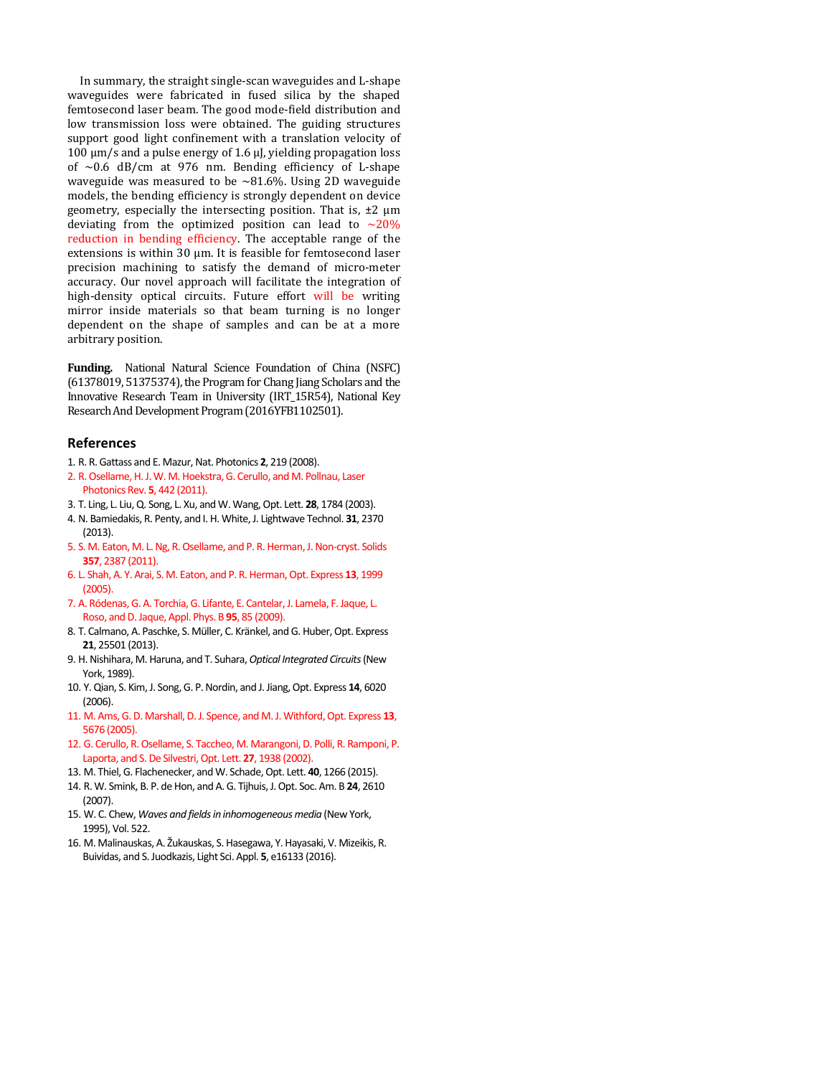In summary, the straight single-scan waveguides and L-shape waveguides were fabricated in fused silica by the shaped femtosecond laser beam. The good mode-field distribution and low transmission loss were obtained. The guiding structures support good light confinement with a translation velocity of 100 μm/s and a pulse energy of 1.6 μJ, yielding propagation loss of  $\sim 0.6$  dB/cm at 976 nm. Bending efficiency of L-shape waveguide was measured to be  $\sim 81.6\%$ . Using 2D waveguide models, the bending efficiency is strongly dependent on device geometry, especially the intersecting position. That is, ±2 μm deviating from the optimized position can lead to  $\sim$ 20% reduction in bending efficiency. The acceptable range of the extensions is within 30 μm. It is feasible for femtosecond laser precision machining to satisfy the demand of micro-meter accuracy. Our novel approach will facilitate the integration of high-density optical circuits. Future effort will be writing mirror inside materials so that beam turning is no longer dependent on the shape of samples and can be at a more arbitrary position.

**Funding.** National Natural Science Foundation of China (NSFC) (61378019, 51375374), the Program for Chang Jiang Scholars and the Innovative Research Team in University (IRT\_15R54), National Key Research And Development Program (2016YFB1102501).

## **References**

- 1. R. R. Gattass and E. Mazur, Nat. Photonics **2**, 219 (2008).
- 2. R. Osellame, H. J. W. M. Hoekstra, G. Cerullo, and M. Pollnau, Laser Photonics Rev. **5**, 442 (2011).
- 3. T. Ling, L. Liu, Q. Song, L. Xu, and W. Wang, Opt. Lett. **28**, 1784 (2003).
- 4. N. Bamiedakis, R. Penty, and I. H. White, J. Lightwave Technol. **31**, 2370 (2013).
- 5. S. M. Eaton, M. L. Ng, R. Osellame, and P. R. Herman, J. Non-cryst. Solids **357**, 2387 (2011).
- 6. L. Shah, A. Y. Arai, S. M. Eaton, and P. R. Herman, Opt. Express **13**, 1999 (2005).
- 7. A. Ródenas, G. A. Torchia, G. Lifante, E. Cantelar, J. Lamela, F. Jaque, L. Roso, and D. Jaque, Appl. Phys. B **95**, 85 (2009).
- 8. T. Calmano, A. Paschke, S. Müller, C. Kränkel, and G. Huber, Opt. Express **21**, 25501 (2013).
- 9. H. Nishihara, M. Haruna, and T. Suhara, *Optical Integrated Circuits* (New York, 1989).
- 10. Y. Qian, S. Kim, J. Song, G. P. Nordin, and J. Jiang, Opt. Express **14**, 6020 (2006).
- 11. M. Ams, G. D. Marshall, D. J. Spence, and M. J. Withford, Opt. Express **13**, 5676 (2005).
- 12. G. Cerullo, R. Osellame, S. Taccheo, M. Marangoni, D. Polli, R. Ramponi, P. Laporta, and S. De Silvestri, Opt. Lett. **27**, 1938 (2002).
- 13. M. Thiel, G. Flachenecker, and W. Schade, Opt. Lett. **40**, 1266 (2015).
- 14. R. W. Smink, B. P. de Hon, and A. G. Tijhuis, J. Opt. Soc. Am. B **24**, 2610 (2007).
- 15. W. C. Chew, *Waves and fields in inhomogeneous media* (New York, 1995), Vol. 522.
- 16. M. Malinauskas, A. Žukauskas, S. Hasegawa, Y. Hayasaki, V. Mizeikis, R. Buividas, and S. Juodkazis, Light Sci. Appl. **5**, e16133 (2016).